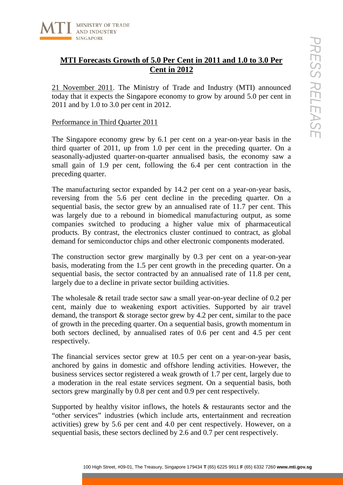

## **MTI Forecasts Growth of 5.0 Per Cent in 2011 and 1.0 to 3.0 Per Cent in 2012**

21 November 2011. The Ministry of Trade and Industry (MTI) announced today that it expects the Singapore economy to grow by around 5.0 per cent in 2011 and by 1.0 to 3.0 per cent in 2012.

Performance in Third Quarter 2011

The Singapore economy grew by 6.1 per cent on a year-on-year basis in the third quarter of 2011, up from 1.0 per cent in the preceding quarter. On a seasonally-adjusted quarter-on-quarter annualised basis, the economy saw a small gain of 1.9 per cent, following the 6.4 per cent contraction in the preceding quarter.

**100 High Street, 100 High Street, 100 High Street, 100 High Street, 100 High Street, the Treasury of Traile and Industry (MTI) announced**  $\sqrt{100 \cdot 30}$  **or cent in 2012.<br>
11 expects the Singapore economy to grow by around** The manufacturing sector expanded by 14.2 per cent on a year-on-year basis, reversing from the 5.6 per cent decline in the preceding quarter. On a sequential basis, the sector grew by an annualised rate of 11.7 per cent. This was largely due to a rebound in biomedical manufacturing output, as some companies switched to producing a higher value mix of pharmaceutical products. By contrast, the electronics cluster continued to contract, as global demand for semiconductor chips and other electronic components moderated.

The construction sector grew marginally by 0.3 per cent on a year-on-year basis, moderating from the 1.5 per cent growth in the preceding quarter. On a sequential basis, the sector contracted by an annualised rate of 11.8 per cent, largely due to a decline in private sector building activities.

The wholesale & retail trade sector saw a small year-on-year decline of 0.2 per cent, mainly due to weakening export activities. Supported by air travel demand, the transport & storage sector grew by 4.2 per cent, similar to the pace of growth in the preceding quarter. On a sequential basis, growth momentum in both sectors declined, by annualised rates of 0.6 per cent and 4.5 per cent respectively.

The financial services sector grew at 10.5 per cent on a year-on-year basis, anchored by gains in domestic and offshore lending activities. However, the business services sector registered a weak growth of 1.7 per cent, largely due to a moderation in the real estate services segment. On a sequential basis, both sectors grew marginally by 0.8 per cent and 0.9 per cent respectively.

Supported by healthy visitor inflows, the hotels & restaurants sector and the "other services" industries (which include arts, entertainment and recreation activities) grew by 5.6 per cent and 4.0 per cent respectively. However, on a sequential basis, these sectors declined by 2.6 and 0.7 per cent respectively.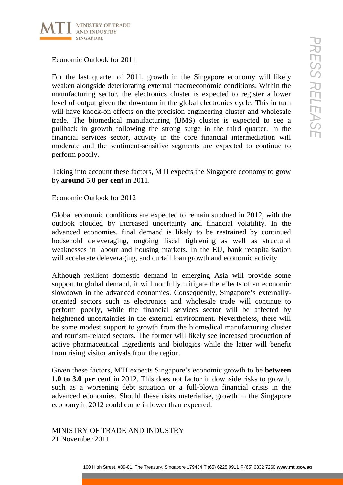

Economic Outlook for 2011

1000 Hotel of the street, and the street of the Singapore comming will like the street of the electronian external macroeconomic conditions. Within the amplitude street a lowel many secon, the electronics cluster is expe For the last quarter of 2011, growth in the Singapore economy will likely weaken alongside deteriorating external macroeconomic conditions. Within the manufacturing sector, the electronics cluster is expected to register a lower level of output given the downturn in the global electronics cycle. This in turn will have knock-on effects on the precision engineering cluster and wholesale trade. The biomedical manufacturing (BMS) cluster is expected to see a pullback in growth following the strong surge in the third quarter. In the financial services sector, activity in the core financial intermediation will moderate and the sentiment-sensitive segments are expected to continue to perform poorly.

Taking into account these factors, MTI expects the Singapore economy to grow by **around 5.0 per cent** in 2011.

## Economic Outlook for 2012

Global economic conditions are expected to remain subdued in 2012, with the outlook clouded by increased uncertainty and financial volatility. In the advanced economies, final demand is likely to be restrained by continued household deleveraging, ongoing fiscal tightening as well as structural weaknesses in labour and housing markets. In the EU, bank recapitalisation will accelerate deleveraging, and curtail loan growth and economic activity.

Although resilient domestic demand in emerging Asia will provide some support to global demand, it will not fully mitigate the effects of an economic slowdown in the advanced economies. Consequently, Singapore's externallyoriented sectors such as electronics and wholesale trade will continue to perform poorly, while the financial services sector will be affected by heightened uncertainties in the external environment. Nevertheless, there will be some modest support to growth from the biomedical manufacturing cluster and tourism-related sectors. The former will likely see increased production of active pharmaceutical ingredients and biologics while the latter will benefit from rising visitor arrivals from the region.

Given these factors, MTI expects Singapore's economic growth to be **between 1.0 to 3.0 per cent** in 2012. This does not factor in downside risks to growth, such as a worsening debt situation or a full-blown financial crisis in the advanced economies. Should these risks materialise, growth in the Singapore economy in 2012 could come in lower than expected.

MINISTRY OF TRADE AND INDUSTRY 21 November 2011